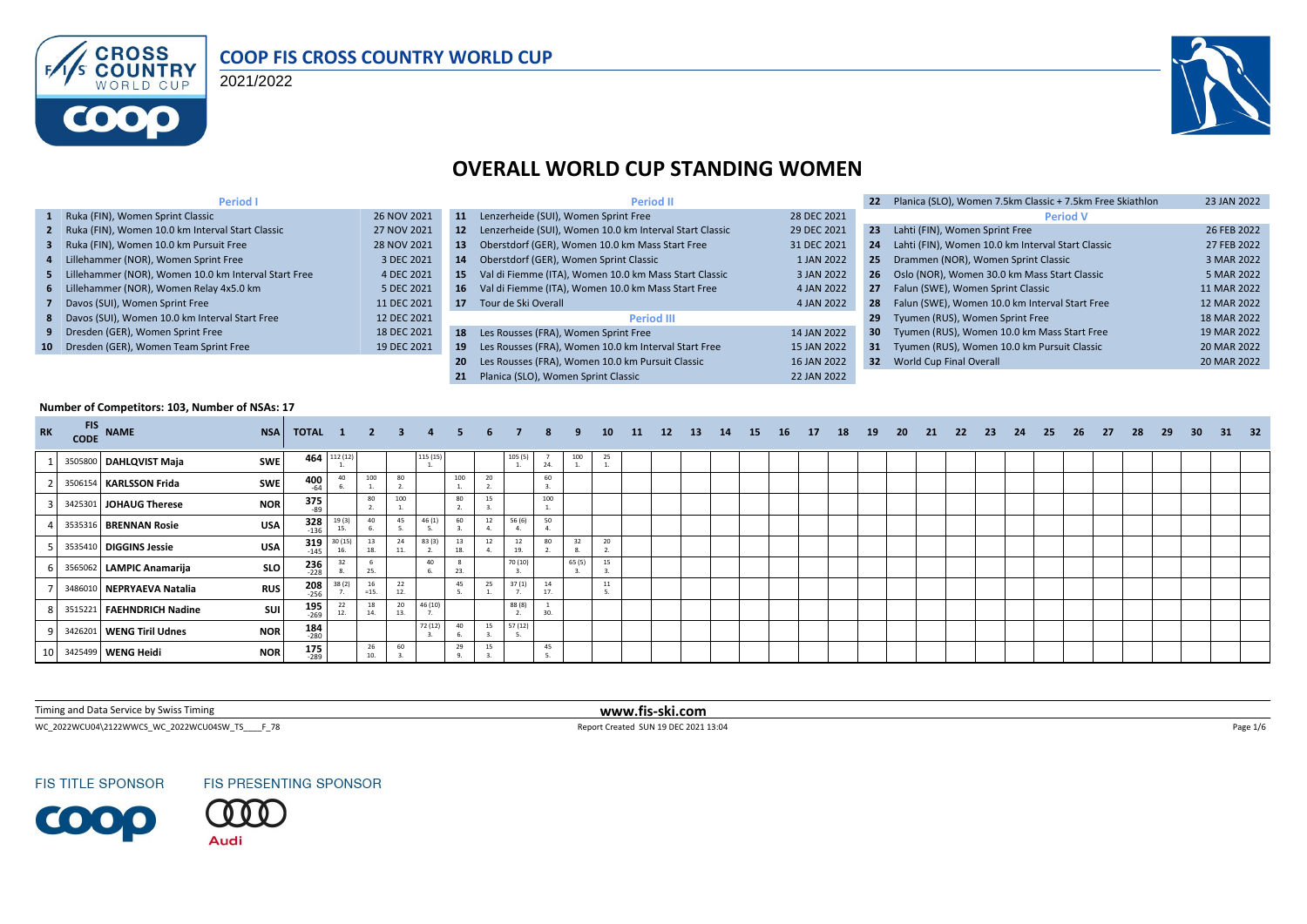

#### **COOP FIS CROSS COUNTRY WORLD CUP**

2021/2022



## **OVERALL WORLD CUP STANDING WOMEN**

| <b>Period I</b>                                        |             |           | <b>Period II</b>                                        |             | Planica (SLO), Women 7.5km Classic + 7.5km Free Skiathlon | 23 JAN 2022 |
|--------------------------------------------------------|-------------|-----------|---------------------------------------------------------|-------------|-----------------------------------------------------------|-------------|
| 1 Ruka (FIN), Women Sprint Classic                     | 26 NOV 2021 | 11        | Lenzerheide (SUI), Women Sprint Free                    | 28 DEC 2021 | <b>Period V</b>                                           |             |
| 2 Ruka (FIN), Women 10.0 km Interval Start Classic     | 27 NOV 2021 | <b>12</b> | Lenzerheide (SUI), Women 10.0 km Interval Start Classic | 29 DEC 2021 | 23<br>Lahti (FIN), Women Sprint Free                      | 26 FEB 2022 |
| 3 Ruka (FIN), Women 10.0 km Pursuit Free               | 28 NOV 2021 | 13        | Oberstdorf (GER), Women 10.0 km Mass Start Free         | 31 DEC 2021 | Lahti (FIN), Women 10.0 km Interval Start Classic<br>24   | 27 FEB 2022 |
| 4 Lillehammer (NOR), Women Sprint Free                 | 3 DEC 2021  | 14        | Oberstdorf (GER), Women Sprint Classic                  | 1 JAN 2022  | Drammen (NOR), Women Sprint Classic<br>25                 | 3 MAR 2022  |
| 5 Lillehammer (NOR), Women 10.0 km Interval Start Free | 4 DEC 2021  | 15.       | Val di Fiemme (ITA), Women 10.0 km Mass Start Classic   | 3 JAN 2022  | Oslo (NOR), Women 30.0 km Mass Start Classic<br>26        | 5 MAR 2022  |
| 6 Lillehammer (NOR), Women Relay 4x5.0 km              | 5 DEC 2021  | 16        | Val di Fiemme (ITA), Women 10.0 km Mass Start Free      | 4 JAN 2022  | Falun (SWE), Women Sprint Classic<br>27                   | 11 MAR 2022 |
| 7 Davos (SUI), Women Sprint Free                       | 11 DEC 2021 | 17        | Tour de Ski Overall                                     | 4 JAN 2022  | Falun (SWE), Women 10.0 km Interval Start Free<br>28      | 12 MAR 2022 |
| 8 Davos (SUI), Women 10.0 km Interval Start Free       | 12 DEC 2021 |           | <b>Period III</b>                                       |             | Tyumen (RUS), Women Sprint Free<br>29                     | 18 MAR 2022 |
| 9 Dresden (GER), Women Sprint Free                     | 18 DEC 2021 | 18        | Les Rousses (FRA), Women Sprint Free                    | 14 JAN 2022 | 30 Tyumen (RUS), Women 10.0 km Mass Start Free            | 19 MAR 2022 |
| 10 Dresden (GER), Women Team Sprint Free               | 19 DEC 2021 | 19        | Les Rousses (FRA), Women 10.0 km Interval Start Free    | 15 JAN 2022 | Tyumen (RUS), Women 10.0 km Pursuit Classic<br>31         | 20 MAR 2022 |
|                                                        |             | 20        | Les Rousses (FRA), Women 10.0 km Pursuit Classic        | 16 JAN 2022 | World Cup Final Overall<br>32 <sub>2</sub>                | 20 MAR 2022 |
|                                                        |             |           | Planica (SLO). Women Sprint Classic                     | 22 JAN 2022 |                                                           |             |

#### **Number of Competitors: 103, Number of NSAs: 17**

| <b>RK</b> | <b>FIS</b><br><b>CODE</b> | <b>NAME</b>               | <b>NSA</b> | TOTAL 1               |                | $\overline{\mathbf{2}}$ | $\overline{\mathbf{3}}$ |         |     | 6  |          | 8        | 9      | 10 <sup>1</sup> | 11 | 12 | <b>13</b> | 14 | 15 | <b>16</b> | <b>17</b> | 18 | 19 | 20 | 21 | - 22 | - 23 | - 24 | 25 | 26 | - 27 | 28 | 29 | 30 <sup>°</sup> | 31 | 32 |
|-----------|---------------------------|---------------------------|------------|-----------------------|----------------|-------------------------|-------------------------|---------|-----|----|----------|----------|--------|-----------------|----|----|-----------|----|----|-----------|-----------|----|----|----|----|------|------|------|----|----|------|----|----|-----------------|----|----|
|           |                           | 3505800 DAHLQVIST Maja    | <b>SWE</b> | 464                   | 112 (12)       |                         |                         | 115 (15 |     |    | 105(5)   | 24       | 100    | 25              |    |    |           |    |    |           |           |    |    |    |    |      |      |      |    |    |      |    |    |                 |    |    |
|           |                           | 3506154 KARLSSON Frida    | <b>SWE</b> | 400<br>$-64$          | 40             | 100                     | 80                      |         | 100 | 20 |          | 60       |        |                 |    |    |           |    |    |           |           |    |    |    |    |      |      |      |    |    |      |    |    |                 |    |    |
|           |                           | 3425301 JOHAUG Therese    | <b>NOR</b> | 375                   |                | 80                      | 100                     |         | 80  | 15 |          | 100      |        |                 |    |    |           |    |    |           |           |    |    |    |    |      |      |      |    |    |      |    |    |                 |    |    |
|           |                           | 3535316 BRENNAN Rosie     | <b>USA</b> | $328$<br>$-136$       | 19(3)<br>15.   | 40                      | 45                      | 46 (1   | 60  | 12 | 56 (6)   | 50       |        |                 |    |    |           |    |    |           |           |    |    |    |    |      |      |      |    |    |      |    |    |                 |    |    |
|           |                           | 3535410 DIGGINS Jessie    | <b>USA</b> | 319<br>$-145$         | 30 (15)<br>16. | 13<br>18.               | 24                      | 83 (3   | 18. | 12 | 12<br>19 | 80       | 32     | 20              |    |    |           |    |    |           |           |    |    |    |    |      |      |      |    |    |      |    |    |                 |    |    |
|           |                           | 3565062 LAMPIC Anamarija  | SLO        | 236<br>228            |                | 25.                     |                         | 40      |     |    | 70 (10)  |          | 65 (5) | 15              |    |    |           |    |    |           |           |    |    |    |    |      |      |      |    |    |      |    |    |                 |    |    |
|           |                           | 3486010 NEPRYAEVA Natalia | <b>RUS</b> | $208$<br>-256         | 38(2)          | 16<br>$=15.$            | 22                      |         | 45  | 25 | 37(1)    | 14<br>17 |        | 11              |    |    |           |    |    |           |           |    |    |    |    |      |      |      |    |    |      |    |    |                 |    |    |
|           |                           | 3515221 FAEHNDRICH Nadine | <b>SUI</b> | $195$ <sub>269</sub>  | 12.            | 18<br>14.               | 20<br>13.               | 46 (10  |     |    | 88 (8)   | 20       |        |                 |    |    |           |    |    |           |           |    |    |    |    |      |      |      |    |    |      |    |    |                 |    |    |
|           |                           | 3426201 WENG Tiril Udnes  | <b>NOR</b> | $184$ <sub>-280</sub> |                |                         |                         | 72 (12) | 40  | 15 | 57 (12)  |          |        |                 |    |    |           |    |    |           |           |    |    |    |    |      |      |      |    |    |      |    |    |                 |    |    |
|           |                           | 10 3425499 WENG Heidi     | <b>NOR</b> | $175$ <sub>289</sub>  |                | 26<br>10.               | 60                      |         | 29  | 15 |          | 45       |        |                 |    |    |           |    |    |           |           |    |    |    |    |      |      |      |    |    |      |    |    |                 |    |    |

Timing and Data Service by Swiss Timing **www.fis-ski.com**

WC\_2022WCU04\2122WWCS\_WC\_2022WCU04SW\_TS\_\_\_\_F\_78 <br>
Page 1/6

**FIS TITLE SPONSOR** 

**COOP** 



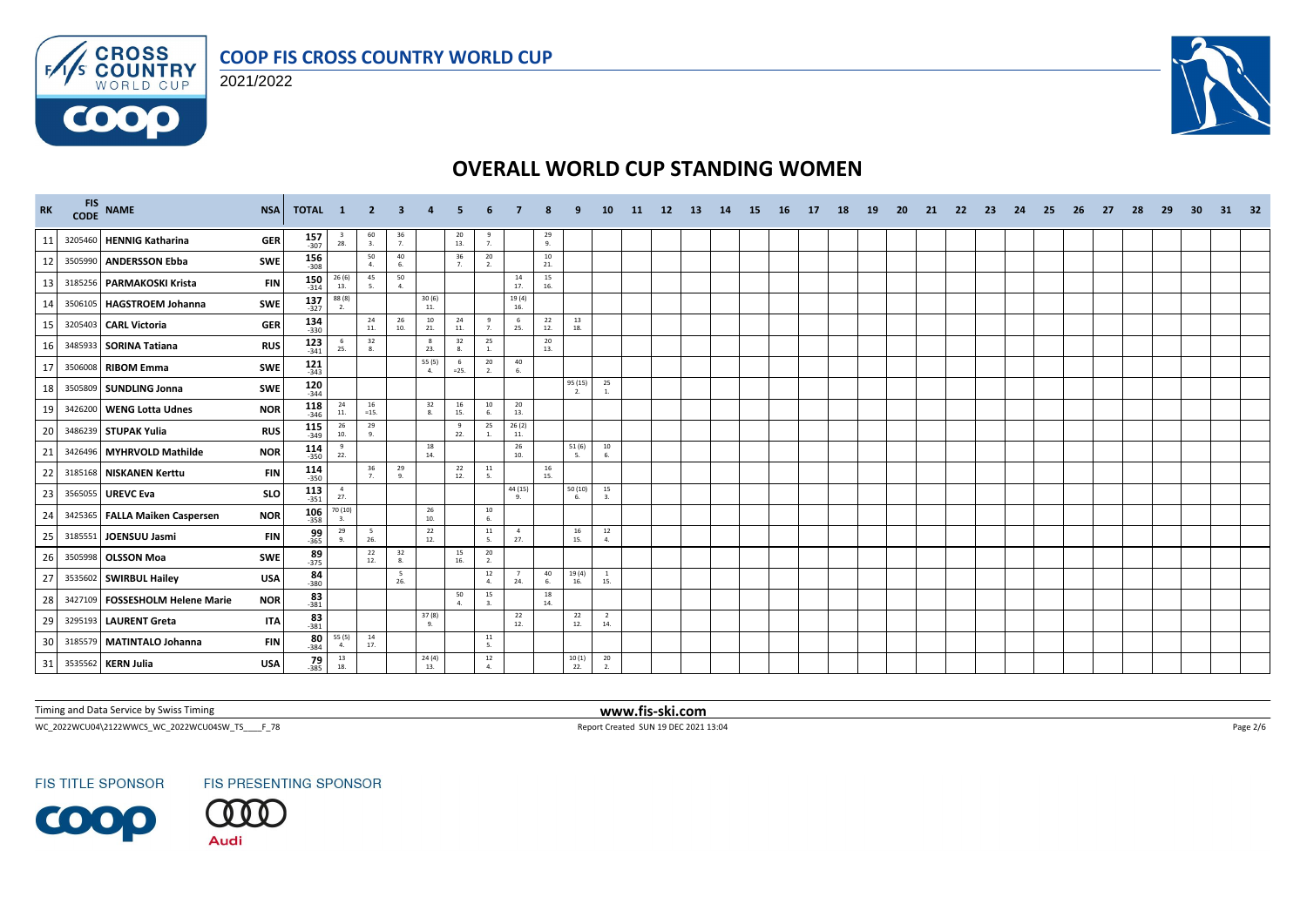





| <b>RK</b> | FIS NAME<br><b>NSA</b>                          | TOTAL 1              |                                          | - 2                  | 3              |                    |                      |                        |                       |                |                | 10                    | 11 | 12 <sup>2</sup> | <b>13</b> | 14 | -15 | <b>16</b> | <b>17</b> | 18 | <b>19</b> | <b>20</b> | 21 | 22 | -23 | 24 | 25 | 26 | 27 | 28 | -29 | -30 | 31 | 32 |
|-----------|-------------------------------------------------|----------------------|------------------------------------------|----------------------|----------------|--------------------|----------------------|------------------------|-----------------------|----------------|----------------|-----------------------|----|-----------------|-----------|----|-----|-----------|-----------|----|-----------|-----------|----|----|-----|----|----|----|----|----|-----|-----|----|----|
| 11        | 3205460 HENNIG Katharina<br><b>GER</b>          | $157$ <sub>307</sub> | $\frac{3}{28}$ .                         | 60<br>3.             | $\frac{36}{7}$ |                    | 20<br>13.            | 9<br>7.                |                       | $\frac{29}{9}$ |                |                       |    |                 |           |    |     |           |           |    |           |           |    |    |     |    |    |    |    |    |     |     |    |    |
| 12        | 3505990 ANDERSSON Ebba<br><b>SWE</b>            | $156 \atop -308$     |                                          | 50<br>$\mathbf{A}$   | 40<br>6.       |                    | 36<br>7 <sub>1</sub> | 20<br>2 <sup>1</sup>   |                       | 10<br>21.      |                |                       |    |                 |           |    |     |           |           |    |           |           |    |    |     |    |    |    |    |    |     |     |    |    |
| 13        | 3185256 PARMAKOSKI Krista<br><b>FIN</b>         | $150$<br>$-314$      | 26(6)<br>13.                             | 45<br>5.             | 50<br>4.       |                    |                      |                        | 14<br>17.             | 15<br>16.      |                |                       |    |                 |           |    |     |           |           |    |           |           |    |    |     |    |    |    |    |    |     |     |    |    |
| 14        | 3506105 HAGSTROEM Johanna<br><b>SWE</b>         | $137$ <sub>327</sub> | $\frac{88(8)}{2}$                        |                      |                | $\frac{30(6)}{11}$ |                      |                        | 19(4)<br>16.          |                |                |                       |    |                 |           |    |     |           |           |    |           |           |    |    |     |    |    |    |    |    |     |     |    |    |
| 15        | <b>GER</b><br>3205403 CARL Victoria             | $134$ 330            |                                          | 24<br>11.            | 26<br>10.      | 10<br>21.          | 24<br>11.            | 9<br>7.                | 6<br>25.              | 22<br>12.      | 13<br>18.      |                       |    |                 |           |    |     |           |           |    |           |           |    |    |     |    |    |    |    |    |     |     |    |    |
| 16        | 3485933 SORINA Tatiana<br><b>RUS</b>            | 123<br>$-341$        | 6<br>25.                                 | 32<br>8.             |                | 8<br>23.           | 32<br>8.             | 25<br>1.               |                       | 20<br>13.      |                |                       |    |                 |           |    |     |           |           |    |           |           |    |    |     |    |    |    |    |    |     |     |    |    |
| 17        | SWE<br>3506008 RIBOM Emma                       | $121$ <sub>343</sub> |                                          |                      |                | 55 (5)<br>4.       | -6<br>$=25.$         | 20<br>2.               | 40<br>6.              |                |                |                       |    |                 |           |    |     |           |           |    |           |           |    |    |     |    |    |    |    |    |     |     |    |    |
| 18        | SWE<br>3505809 SUNDLING Jonna                   | $120$ <sub>344</sub> |                                          |                      |                |                    |                      |                        |                       |                | 95(15)         | 25<br>1.              |    |                 |           |    |     |           |           |    |           |           |    |    |     |    |    |    |    |    |     |     |    |    |
| 19        | 3426200 WENG Lotta Udnes<br><b>NOR</b>          | $118$ <sub>346</sub> | 24<br>11.                                | 16<br>$=15.$         |                | 32<br>8.           | 16<br>15.            | 10<br>6.               | 20<br>13.             |                |                |                       |    |                 |           |    |     |           |           |    |           |           |    |    |     |    |    |    |    |    |     |     |    |    |
| 20        | 3486239 STUPAK Yulia<br><b>RUS</b>              | $115$ <sub>349</sub> | $\begin{array}{c} 26 \\ 10. \end{array}$ | 29<br>9.             |                |                    | 9<br>22.             | 25<br>1.               | 26(2)<br>11.          |                |                |                       |    |                 |           |    |     |           |           |    |           |           |    |    |     |    |    |    |    |    |     |     |    |    |
| 21        | 3426496 MYHRVOLD Mathilde<br><b>NOR</b>         | $\frac{114}{350}$    | 9<br>22.                                 |                      |                | 18<br>14.          |                      |                        | 26<br>10.             |                | 51(6)<br>-5.   | 10<br>6.              |    |                 |           |    |     |           |           |    |           |           |    |    |     |    |    |    |    |    |     |     |    |    |
| 22        | 3185168 NISKANEN Kerttu<br><b>FIN</b>           | $114$<br>350         |                                          | 36<br>$\overline{7}$ | 29<br>9.       |                    | 22<br>12.            | 11<br>-5.              |                       | 16<br>15.      |                |                       |    |                 |           |    |     |           |           |    |           |           |    |    |     |    |    |    |    |    |     |     |    |    |
| 23        | 3565055 UREVC Eva<br>SLO                        | $113$<br>$-351$      | $\frac{4}{27}$ .                         |                      |                |                    |                      |                        | 44 (15)               |                | 50 (10)<br>-6. | 15<br>$\mathbf{3}$    |    |                 |           |    |     |           |           |    |           |           |    |    |     |    |    |    |    |    |     |     |    |    |
| 24        | 3425365 FALLA Maiken Caspersen<br><b>NOR</b>    | $106 - 358$          | 70 (10)<br>3.                            |                      |                | 26<br>10.          |                      | $10\,$<br>6.           |                       |                |                |                       |    |                 |           |    |     |           |           |    |           |           |    |    |     |    |    |    |    |    |     |     |    |    |
| 25        | 3185551 JOENSUU Jasmi<br><b>FIN</b>             | $\frac{99}{365}$     | 29<br>$\alpha$                           | 5<br>26.             |                | 22<br>12.          |                      | 11<br>$\sim$           | $\overline{4}$<br>27. |                | 16<br>15.      | 12<br>4.              |    |                 |           |    |     |           |           |    |           |           |    |    |     |    |    |    |    |    |     |     |    |    |
| 26        | 3505998 OLSSON Moa<br>SWE                       | $89 - 375$           |                                          | 22<br>12.            | 32<br>8.       |                    | 15<br>16.            | 20<br>2.               |                       |                |                |                       |    |                 |           |    |     |           |           |    |           |           |    |    |     |    |    |    |    |    |     |     |    |    |
| 27        | 3535602 SWIRBUL Hailey<br><b>USA</b>            | $84 \over 380$       |                                          |                      | - 5<br>26.     |                    |                      | 12<br>4.               | 7<br>24.              | 40<br>6.       | 19(4)<br>16.   | <sup>1</sup><br>15.   |    |                 |           |    |     |           |           |    |           |           |    |    |     |    |    |    |    |    |     |     |    |    |
| 28        | 3427109   FOSSESHOLM Helene Marie<br><b>NOR</b> | $83$ <sub>381</sub>  |                                          |                      |                |                    | 50<br>$\Delta$       | 15<br>3.               |                       | 18<br>14.      |                |                       |    |                 |           |    |     |           |           |    |           |           |    |    |     |    |    |    |    |    |     |     |    |    |
| 29        | 3295193 LAURENT Greta<br><b>ITA</b>             | $83 - 381$           |                                          |                      |                | 37 (8)<br>9.       |                      |                        | 22<br>12.             |                | 22<br>12.      | $\overline{2}$<br>14. |    |                 |           |    |     |           |           |    |           |           |    |    |     |    |    |    |    |    |     |     |    |    |
| 30        | 3185579 MATINTALO Johanna<br><b>FIN</b>         | $80 - 384$           | 55 (5)<br>4.                             | 14<br>17.            |                |                    |                      | $11\,$<br>5.           |                       |                |                |                       |    |                 |           |    |     |           |           |    |           |           |    |    |     |    |    |    |    |    |     |     |    |    |
| 31        | 3535562 KERN Julia<br><b>USA</b>                | 79<br>$-385$         | $\begin{array}{c} 13 \\ 18. \end{array}$ |                      |                | 24(4)<br>13.       |                      | $12\,$<br>$\mathbf{A}$ |                       |                | 10(1)<br>22.   | 20<br>2.              |    |                 |           |    |     |           |           |    |           |           |    |    |     |    |    |    |    |    |     |     |    |    |

Timing and Data Service by Swiss Timing **www.fis-ski.com**

WC\_2022WCU04\2122WWCS\_WC\_2022WCU04SW\_TS\_\_\_\_F\_78 Report Created SUN 19 DEC 2021 13:04 Page 2/6

**FIS TITLE SPONSOR** 

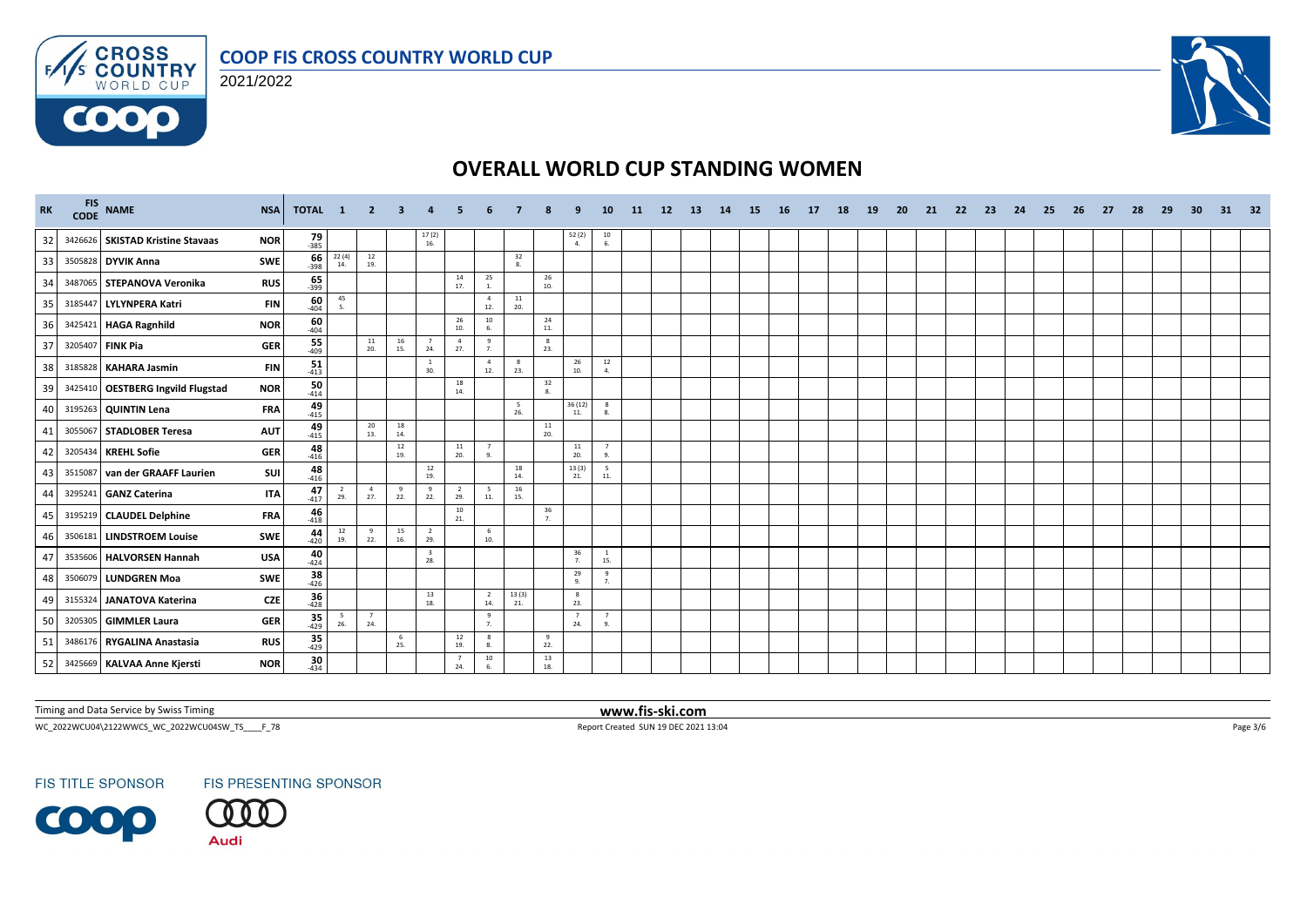





| <b>RK</b> |         | FIS NAME                          | <b>NSA</b> | <b>TOTAL</b>        | $\mathbf{1}$       | $\overline{2}$                           | 3          |                                |                       |                          |                        |                   |                                              | 10                                      | <b>11</b> | 12 | <b>13</b> | <b>14</b> | 15 | 16 | 17 | 18 | <b>19</b> | <b>20</b> | 21 | 22 | 23 | 24 | 25 | 26 | 27 | 28 | 29 | 30 | 31 | -32 |
|-----------|---------|-----------------------------------|------------|---------------------|--------------------|------------------------------------------|------------|--------------------------------|-----------------------|--------------------------|------------------------|-------------------|----------------------------------------------|-----------------------------------------|-----------|----|-----------|-----------|----|----|----|----|-----------|-----------|----|----|----|----|----|----|----|----|----|----|----|-----|
| 32        |         | 3426626 SKISTAD Kristine Stavaas  | <b>NOR</b> | $79 - 385$          |                    |                                          |            | $17(2)$<br>$16.$               |                       |                          |                        |                   | $\begin{array}{c} 52\ (2) \\ 4. \end{array}$ | $\begin{array}{c} 10 \\ 6. \end{array}$ |           |    |           |           |    |    |    |    |           |           |    |    |    |    |    |    |    |    |    |    |    |     |
| 33        |         | 3505828 DYVIK Anna                | SWE        | 66<br>$-398$        | 22(4)<br>14.       | $\begin{array}{c} 12 \\ 19. \end{array}$ |            |                                |                       |                          | 32<br>$\overline{8}$ . |                   |                                              |                                         |           |    |           |           |    |    |    |    |           |           |    |    |    |    |    |    |    |    |    |    |    |     |
| 34        |         | 3487065 STEPANOVA Veronika        | <b>RUS</b> | $65 - 399$          |                    |                                          |            |                                | 14<br>17.             | 25<br>1.                 |                        | 26<br>10.         |                                              |                                         |           |    |           |           |    |    |    |    |           |           |    |    |    |    |    |    |    |    |    |    |    |     |
| 35        |         | 3185447 LYLYNPERA Katri           | <b>FIN</b> | $\frac{60}{404}$    | 45<br>$\mathbf{S}$ |                                          |            |                                |                       | $\overline{4}$<br>12.    | ${\bf 11}$<br>20.      |                   |                                              |                                         |           |    |           |           |    |    |    |    |           |           |    |    |    |    |    |    |    |    |    |    |    |     |
| 36        |         | 3425421 HAGA Ragnhild             | <b>NOR</b> | $\frac{60}{404}$    |                    |                                          |            |                                | 26<br>10.             | $10\,$<br>6.             |                        | 24<br>11.         |                                              |                                         |           |    |           |           |    |    |    |    |           |           |    |    |    |    |    |    |    |    |    |    |    |     |
| 37        |         | 3205407 FINK Pia                  | <b>GER</b> | 55<br>$-409$        |                    | 11<br>20.                                | 16<br>15.  | $\overline{7}$<br>24.          | $\overline{a}$<br>27. | 9<br>7.                  |                        | $^{8}$<br>23.     |                                              |                                         |           |    |           |           |    |    |    |    |           |           |    |    |    |    |    |    |    |    |    |    |    |     |
| 38        | 3185828 | <b>KAHARA Jasmin</b>              | <b>FIN</b> | 51<br>$-413$        |                    |                                          |            | <sup>1</sup><br>30.            |                       | $\overline{4}$<br>12.    | 8<br>23.               |                   | 26<br>10.                                    | $\begin{array}{c} 12 \\ 4. \end{array}$ |           |    |           |           |    |    |    |    |           |           |    |    |    |    |    |    |    |    |    |    |    |     |
| 39        |         | 3425410 OESTBERG Ingvild Flugstad | <b>NOR</b> | 50<br>$-414$        |                    |                                          |            |                                | 18<br>14.             |                          |                        | 32<br>8.          |                                              |                                         |           |    |           |           |    |    |    |    |           |           |    |    |    |    |    |    |    |    |    |    |    |     |
| 40        |         | 3195263 QUINTIN Lena              | <b>FRA</b> | $49 - 415$          |                    |                                          |            |                                |                       |                          | 5<br>26.               |                   | 36 (12)<br>11.                               | $_{\rm 8}$<br>8.                        |           |    |           |           |    |    |    |    |           |           |    |    |    |    |    |    |    |    |    |    |    |     |
| 41        | 3055067 | <b>STADLOBER Teresa</b>           | <b>AUT</b> | $49 - 415$          |                    | 20<br>13.                                | 18<br>14.  |                                |                       |                          |                        | ${\bf 11}$<br>20. |                                              |                                         |           |    |           |           |    |    |    |    |           |           |    |    |    |    |    |    |    |    |    |    |    |     |
| 42        |         | 3205434 KREHL Sofie               | <b>GER</b> | $48$ <sub>416</sub> |                    |                                          | 12<br>19.  |                                | 11<br>20.             | $\overline{7}$<br>9.     |                        |                   | 11<br>20.                                    | $\overline{7}$<br>9.                    |           |    |           |           |    |    |    |    |           |           |    |    |    |    |    |    |    |    |    |    |    |     |
| 43        |         | 3515087 van der GRAAFF Laurien    | SUI        | 48<br>$-416$        |                    |                                          |            | 12<br>19.                      |                       |                          | 18<br>14.              |                   | 13(3)<br>21.                                 | 5<br>11.                                |           |    |           |           |    |    |    |    |           |           |    |    |    |    |    |    |    |    |    |    |    |     |
| 44        |         | 3295241 GANZ Caterina             | <b>ITA</b> | 47<br>$-417$        | - 2<br>29.         | $\overline{4}$<br>27.                    | 9<br>22.   | $\mathbf{q}$<br>22.            | $\overline{2}$<br>29. | $5\overline{5}$<br>$11.$ | 16<br>15.              |                   |                                              |                                         |           |    |           |           |    |    |    |    |           |           |    |    |    |    |    |    |    |    |    |    |    |     |
| 45        |         | 3195219 CLAUDEL Delphine          | <b>FRA</b> | $\frac{46}{418}$    |                    |                                          |            |                                | 10<br>21.             |                          |                        | 36<br>7.          |                                              |                                         |           |    |           |           |    |    |    |    |           |           |    |    |    |    |    |    |    |    |    |    |    |     |
| 46        | 3506181 | <b>LINDSTROEM Louise</b>          | <b>SWE</b> | 44<br>$-420$        | 12<br>19.          | 9<br>22.                                 | 15<br>16.  | $\overline{2}$<br>29.          |                       | 6<br>10.                 |                        |                   |                                              |                                         |           |    |           |           |    |    |    |    |           |           |    |    |    |    |    |    |    |    |    |    |    |     |
| 47        |         | 3535606 HALVORSEN Hannah          | <b>USA</b> | $40_{-424}$         |                    |                                          |            | $\overline{\mathbf{3}}$<br>28. |                       |                          |                        |                   | 36<br>$\overline{7}$                         | $\overline{1}$<br>15.                   |           |    |           |           |    |    |    |    |           |           |    |    |    |    |    |    |    |    |    |    |    |     |
| 48        |         | 3506079 LUNDGREN Moa              | <b>SWE</b> | $38 - 426$          |                    |                                          |            |                                |                       |                          |                        |                   | 29<br>-9.                                    | $^{9}$<br>7.                            |           |    |           |           |    |    |    |    |           |           |    |    |    |    |    |    |    |    |    |    |    |     |
| 49        | 3155324 | JANATOVA Katerina                 | <b>CZE</b> | 36<br>$-428$        |                    |                                          |            | 13<br>18.                      |                       | $\overline{2}$<br>14.    | 13(3)<br>21.           |                   | -8<br>23.                                    |                                         |           |    |           |           |    |    |    |    |           |           |    |    |    |    |    |    |    |    |    |    |    |     |
| 50        |         | 3205305 GIMMLER Laura             | <b>GER</b> | $35$<br>$429$       | 5<br>26.           | $\overline{7}$<br>24.                    |            |                                |                       | 9<br>7.                  |                        |                   | $\overline{7}$<br>24.                        | $\overline{7}$<br>9.                    |           |    |           |           |    |    |    |    |           |           |    |    |    |    |    |    |    |    |    |    |    |     |
| 51        |         | 3486176 RYGALINA Anastasia        | <b>RUS</b> | $35$ <sub>429</sub> |                    |                                          | - 6<br>25. |                                | 12<br>19.             | 8<br>8.                  |                        | 9<br>22.          |                                              |                                         |           |    |           |           |    |    |    |    |           |           |    |    |    |    |    |    |    |    |    |    |    |     |
| 52        |         | 3425669 KALVAA Anne Kjersti       | <b>NOR</b> | 30<br>$-434$        |                    |                                          |            |                                | 24.                   | 10<br>-6.                |                        | 13<br>18.         |                                              |                                         |           |    |           |           |    |    |    |    |           |           |    |    |    |    |    |    |    |    |    |    |    |     |

Timing and Data Service by Swiss Timing **www.fis-ski.com**

WC\_2022WCU04\2122WWCS\_WC\_2022WCU04SW\_TS\_\_\_\_F\_78 Report Created SUN 19 DEC 2021 13:04 Page 3/6

**FIS TITLE SPONSOR** 

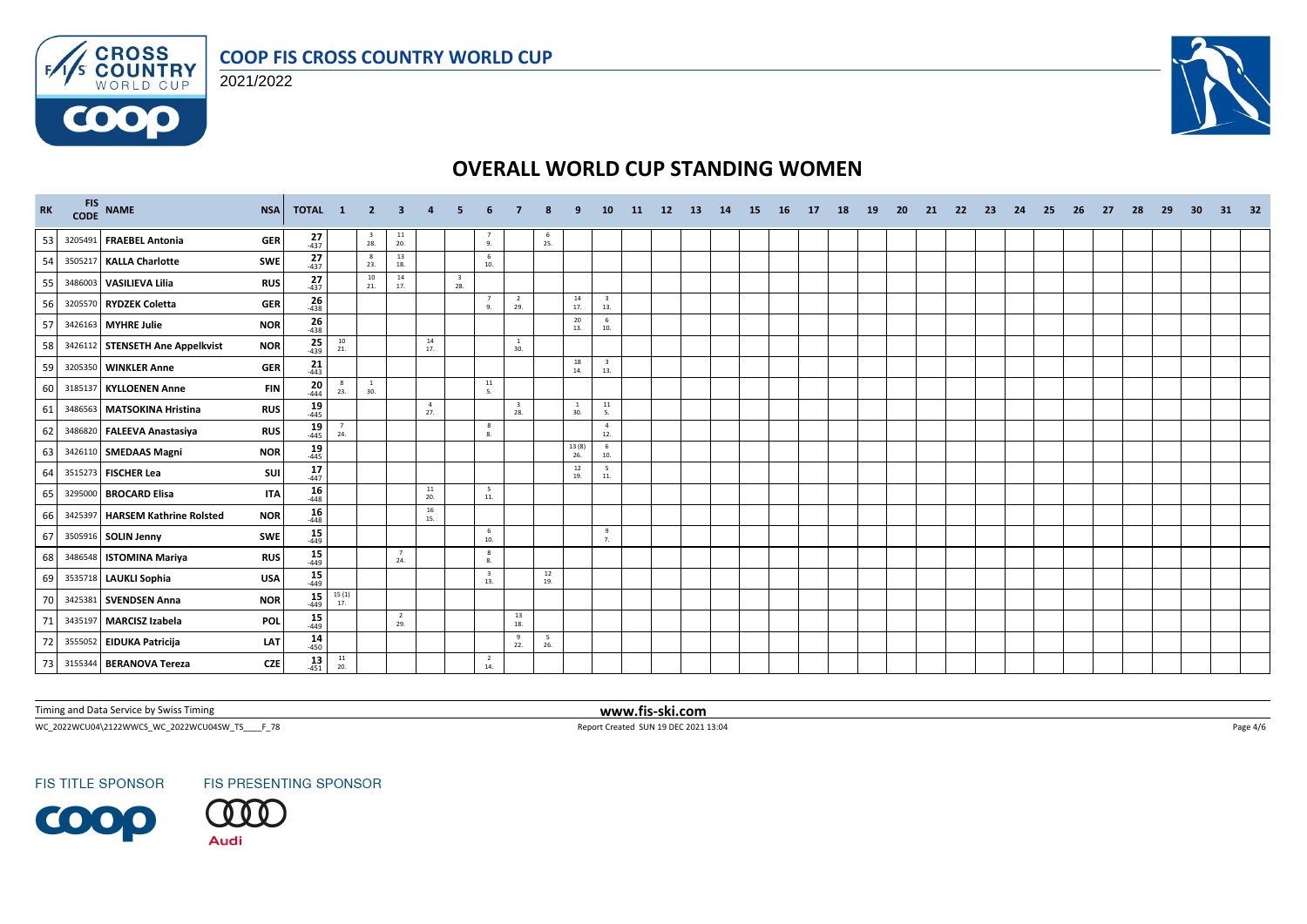



 $F/1/s$ 

6000



# **OVERALL WORLD CUP STANDING WOMEN**

| <b>RK</b> | FIS NAME                        | <b>NSA</b> | TOTAL 1              |                       | $\overline{2}$      | -3                                       |                       |                                |                                |                                |                  |                       | 10                             | -11 | 12 <sup>2</sup> | -13 | 14 | -15 | - 16 | - 17 | 18 | <b>19</b> | -20 | -21 | -22 | -23 | 24 | -25 | -26 | -27 | 28 | -29 | 30 | 31 | 32 |
|-----------|---------------------------------|------------|----------------------|-----------------------|---------------------|------------------------------------------|-----------------------|--------------------------------|--------------------------------|--------------------------------|------------------|-----------------------|--------------------------------|-----|-----------------|-----|----|-----|------|------|----|-----------|-----|-----|-----|-----|----|-----|-----|-----|----|-----|----|----|----|
| 53        | 3205491 FRAEBEL Antonia         | <b>GER</b> | $27 - 437$           |                       | $\frac{3}{28}$ .    | $\begin{array}{c} 11 \\ 20. \end{array}$ |                       |                                | $\frac{7}{9}$                  |                                | $\frac{6}{25}$ . |                       |                                |     |                 |     |    |     |      |      |    |           |     |     |     |     |    |     |     |     |    |     |    |    |    |
| 54        | 3505217 KALLA Charlotte         | SWE        | $\frac{27}{437}$     |                       | 8<br>23.            | 13<br>18.                                |                       |                                | 6<br>10.                       |                                |                  |                       |                                |     |                 |     |    |     |      |      |    |           |     |     |     |     |    |     |     |     |    |     |    |    |    |
| 55        | 3486003 VASILIEVA Lilia         | <b>RUS</b> | $27_{437}$           |                       | 10<br>21.           | 14<br>17.                                |                       | $\overline{\mathbf{3}}$<br>28. |                                |                                |                  |                       |                                |     |                 |     |    |     |      |      |    |           |     |     |     |     |    |     |     |     |    |     |    |    |    |
| 56        | 3205570 RYDZEK Coletta          | <b>GER</b> | $\frac{26}{438}$     |                       |                     |                                          |                       |                                | $7\overline{ }$<br>9.          | $\overline{2}$<br>29.          |                  | 14<br>17.             | $\frac{3}{13}$                 |     |                 |     |    |     |      |      |    |           |     |     |     |     |    |     |     |     |    |     |    |    |    |
| 57        | 3426163 MYHRE Julie             | <b>NOR</b> | $\frac{26}{438}$     |                       |                     |                                          |                       |                                |                                |                                |                  | 20<br>13.             | 6<br>10.                       |     |                 |     |    |     |      |      |    |           |     |     |     |     |    |     |     |     |    |     |    |    |    |
| 58        | 3426112 STENSETH Ane Appelkvist | <b>NOR</b> | $25 - 439$           | 10<br>21.             |                     |                                          | 14<br>17.             |                                |                                | 30.                            |                  |                       |                                |     |                 |     |    |     |      |      |    |           |     |     |     |     |    |     |     |     |    |     |    |    |    |
| 59        | 3205350 WINKLER Anne            | <b>GER</b> | $\frac{21}{443}$     |                       |                     |                                          |                       |                                |                                |                                |                  | 18<br>14.             | $\overline{\mathbf{3}}$<br>13. |     |                 |     |    |     |      |      |    |           |     |     |     |     |    |     |     |     |    |     |    |    |    |
| 60        | 3185137 KYLLOENEN Anne          | <b>FIN</b> | $20$ <sub>-444</sub> | $_{\rm 8}$<br>23.     | <sup>1</sup><br>30. |                                          |                       |                                | 11<br>5.                       |                                |                  |                       |                                |     |                 |     |    |     |      |      |    |           |     |     |     |     |    |     |     |     |    |     |    |    |    |
| 61        | 3486563 MATSOKINA Hristina      | <b>RUS</b> | $19 \atop 445$       |                       |                     |                                          | $\overline{4}$<br>27. |                                |                                | $\overline{\mathbf{3}}$<br>28. |                  | $\overline{1}$<br>30. | 11<br>5.                       |     |                 |     |    |     |      |      |    |           |     |     |     |     |    |     |     |     |    |     |    |    |    |
| 62        | 3486820 FALEEVA Anastasiya      | <b>RUS</b> | $19 - 445$           | $\overline{7}$<br>24. |                     |                                          |                       |                                | 8<br>8.                        |                                |                  |                       | $\overline{4}$<br>12.          |     |                 |     |    |     |      |      |    |           |     |     |     |     |    |     |     |     |    |     |    |    |    |
| 63        | 3426110 SMEDAAS Magni           | <b>NOR</b> | $19 - 445$           |                       |                     |                                          |                       |                                |                                |                                |                  | 13(8)<br>26.          | 6<br>10.                       |     |                 |     |    |     |      |      |    |           |     |     |     |     |    |     |     |     |    |     |    |    |    |
| 64        | 3515273 FISCHER Lea             | SUI        | 17<br>$-447$         |                       |                     |                                          |                       |                                |                                |                                |                  | 12<br>19.             | 5<br>11.                       |     |                 |     |    |     |      |      |    |           |     |     |     |     |    |     |     |     |    |     |    |    |    |
| 65        | 3295000 BROCARD Elisa           | <b>ITA</b> | 16<br>$-448$         |                       |                     |                                          | $\frac{11}{20}$       |                                | 5<br>11.                       |                                |                  |                       |                                |     |                 |     |    |     |      |      |    |           |     |     |     |     |    |     |     |     |    |     |    |    |    |
| 66        | 3425397 HARSEM Kathrine Rolsted | <b>NOR</b> | $16 \over 448$       |                       |                     |                                          | 16<br>15.             |                                |                                |                                |                  |                       |                                |     |                 |     |    |     |      |      |    |           |     |     |     |     |    |     |     |     |    |     |    |    |    |
| 67        | 3505916 SOLIN Jenny             | SWE        | $15 - 449$           |                       |                     |                                          |                       |                                | 6<br>10.                       |                                |                  |                       | $\overline{9}$<br>7.           |     |                 |     |    |     |      |      |    |           |     |     |     |     |    |     |     |     |    |     |    |    |    |
| 68        | 3486548 ISTOMINA Mariya         | <b>RUS</b> | $15 - 449$           |                       |                     | $\overline{7}$<br>24.                    |                       |                                | 8<br>8.                        |                                |                  |                       |                                |     |                 |     |    |     |      |      |    |           |     |     |     |     |    |     |     |     |    |     |    |    |    |
| 69        | 3535718 LAUKLI Sophia           | <b>USA</b> | $15$ <sub>449</sub>  |                       |                     |                                          |                       |                                | $\overline{\mathbf{3}}$<br>13. |                                | 12<br>19.        |                       |                                |     |                 |     |    |     |      |      |    |           |     |     |     |     |    |     |     |     |    |     |    |    |    |
| 70        | 3425381 SVENDSEN Anna           | <b>NOR</b> | $15 - 449$           | 15(1)<br>17.          |                     |                                          |                       |                                |                                |                                |                  |                       |                                |     |                 |     |    |     |      |      |    |           |     |     |     |     |    |     |     |     |    |     |    |    |    |
| 71        | 3435197 MARCISZ Izabela         | POL        | $\frac{15}{449}$     |                       |                     | $\overline{2}$<br>29.                    |                       |                                |                                | 13<br>18.                      |                  |                       |                                |     |                 |     |    |     |      |      |    |           |     |     |     |     |    |     |     |     |    |     |    |    |    |
| 72        | 3555052 EIDUKA Patricija        | LAT        | $14 \over 450$       |                       |                     |                                          |                       |                                |                                | 9<br>22.                       | 5<br>26.         |                       |                                |     |                 |     |    |     |      |      |    |           |     |     |     |     |    |     |     |     |    |     |    |    |    |
| 73        | 3155344 BERANOVA Tereza         | <b>CZE</b> | 13<br>$-451$         | $\frac{11}{20}$       |                     |                                          |                       |                                | $\overline{2}$<br>14.          |                                |                  |                       |                                |     |                 |     |    |     |      |      |    |           |     |     |     |     |    |     |     |     |    |     |    |    |    |

Timing and Data Service by Swiss Timing **www.fis-ski.com**

WC\_2022WCU04\2122WWCS\_WC\_2022WCU04SW\_TS\_\_\_\_F\_78 <br>
Report Created SUN 19 DEC 2021 13:04 Page 4/6

**FIS TITLE SPONSOR** 

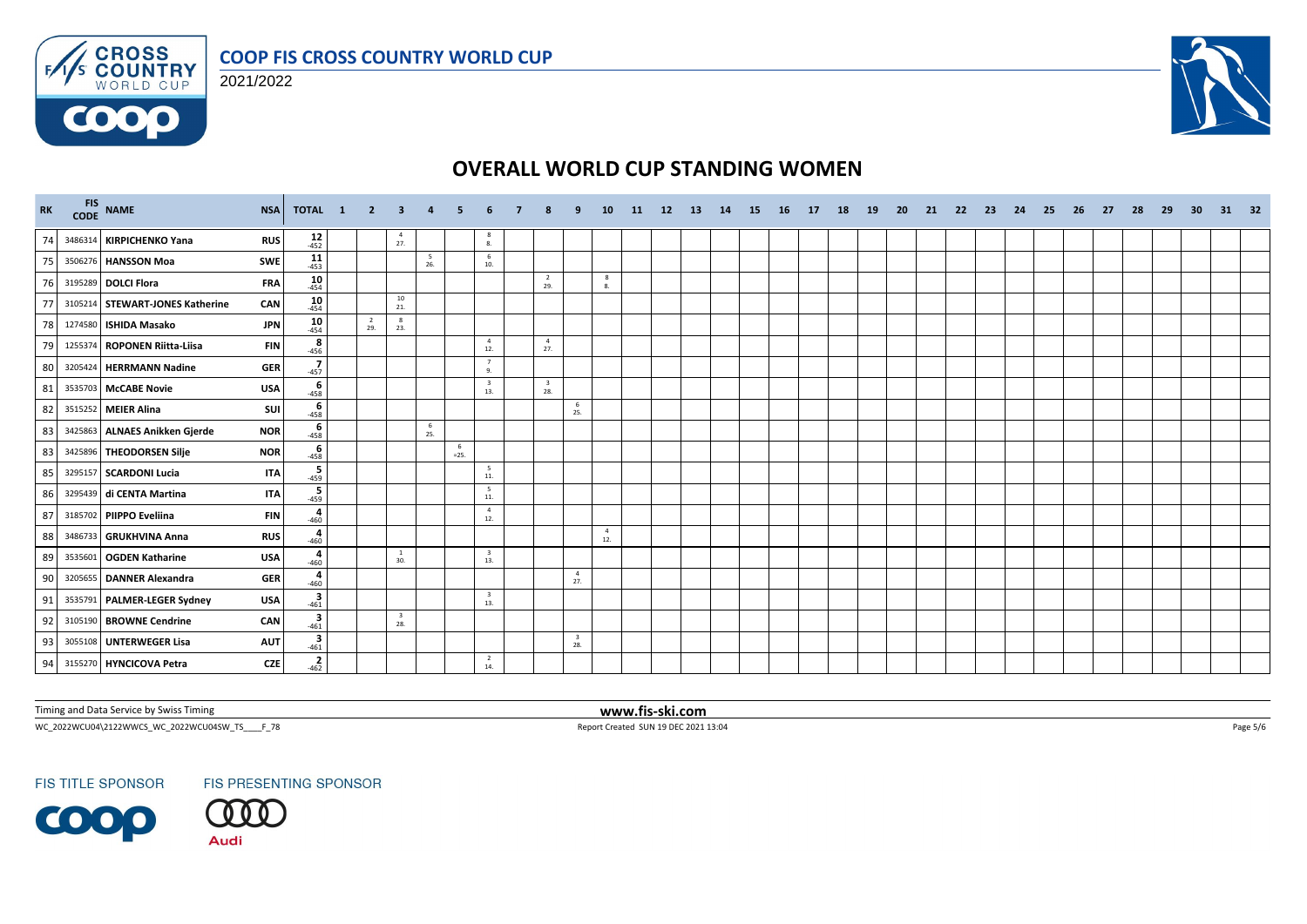





| RK |         | FIS NAME                        | <b>NSA</b><br>TOTAL 1                                                       | $\overline{\mathbf{2}}$ | $\mathbf{3}$                   | $\overline{4}$ |               |                                |                                |                                | 10                    | 11 | 12 | <b>13</b> | 14 | 15 | <b>16</b> | 17 | 18 | 19 | 20 | 21 | 22 | - 23 | 24 | - 25 | 26 | -27 | -28 | -29 | 30 | 31 | - 32 |
|----|---------|---------------------------------|-----------------------------------------------------------------------------|-------------------------|--------------------------------|----------------|---------------|--------------------------------|--------------------------------|--------------------------------|-----------------------|----|----|-----------|----|----|-----------|----|----|----|----|----|----|------|----|------|----|-----|-----|-----|----|----|------|
| 74 |         | 3486314 KIRPICHENKO Yana        | $12 - 452$<br><b>RUS</b>                                                    |                         | $\overline{4}$<br>27.          |                |               | - 8<br>8.                      |                                |                                |                       |    |    |           |    |    |           |    |    |    |    |    |    |      |    |      |    |     |     |     |    |    |      |
| 75 |         | 3506276 HANSSON Moa             | $11$<br>$453$<br>SWE                                                        |                         |                                | - 5<br>26.     |               | - 6<br>10.                     |                                |                                |                       |    |    |           |    |    |           |    |    |    |    |    |    |      |    |      |    |     |     |     |    |    |      |
| 76 |         | 3195289 DOLCI Flora             | 10<br><b>FRA</b><br>$-454$                                                  |                         |                                |                |               |                                | $\overline{2}$<br>29.          |                                | 8<br>8.               |    |    |           |    |    |           |    |    |    |    |    |    |      |    |      |    |     |     |     |    |    |      |
| 77 |         | 3105214 STEWART-JONES Katherine | 10<br>CAN<br>$-454$                                                         |                         | 10<br>21.                      |                |               |                                |                                |                                |                       |    |    |           |    |    |           |    |    |    |    |    |    |      |    |      |    |     |     |     |    |    |      |
| 78 |         | 1274580 ISHIDA Masako           | $10^{45}$<br><b>JPN</b>                                                     | $\overline{2}$<br>29.   | 8<br>23.                       |                |               |                                |                                |                                |                       |    |    |           |    |    |           |    |    |    |    |    |    |      |    |      |    |     |     |     |    |    |      |
| 79 |         | 1255374 ROPONEN Riitta-Liisa    | $\begin{array}{c}\n 8 \\  -456\n\end{array}$<br><b>FIN</b>                  |                         |                                |                |               | $\overline{4}$<br>12.          | $\overline{4}$<br>27.          |                                |                       |    |    |           |    |    |           |    |    |    |    |    |    |      |    |      |    |     |     |     |    |    |      |
| 80 |         | 3205424 HERRMANN Nadine         | $-457$<br><b>GER</b>                                                        |                         |                                |                |               | $\overline{7}$<br>9.           |                                |                                |                       |    |    |           |    |    |           |    |    |    |    |    |    |      |    |      |    |     |     |     |    |    |      |
| 81 |         | 3535703 McCABE Novie            | $rac{6}{-458}$<br><b>USA</b>                                                |                         |                                |                |               | $\overline{\mathbf{3}}$<br>13. | $\overline{\mathbf{3}}$<br>28. |                                |                       |    |    |           |    |    |           |    |    |    |    |    |    |      |    |      |    |     |     |     |    |    |      |
| 82 |         | 3515252 MEIER Alina             | 6<br>SUI<br>$-458$                                                          |                         |                                |                |               |                                |                                | 6<br>25.                       |                       |    |    |           |    |    |           |    |    |    |    |    |    |      |    |      |    |     |     |     |    |    |      |
| 83 |         | 3425863 ALNAES Anikken Gjerde   | 6<br><b>NOR</b><br>$-458$                                                   |                         |                                | 6<br>25.       |               |                                |                                |                                |                       |    |    |           |    |    |           |    |    |    |    |    |    |      |    |      |    |     |     |     |    |    |      |
| 83 |         | 3425896 THEODORSEN Silje        | $-458$<br><b>NOR</b>                                                        |                         |                                |                | - 6<br>$=25.$ |                                |                                |                                |                       |    |    |           |    |    |           |    |    |    |    |    |    |      |    |      |    |     |     |     |    |    |      |
| 85 |         | 3295157 SCARDONI Lucia          | $-459$<br><b>ITA</b>                                                        |                         |                                |                |               | $5\overline{5}$<br>$11.$       |                                |                                |                       |    |    |           |    |    |           |    |    |    |    |    |    |      |    |      |    |     |     |     |    |    |      |
| 86 |         | 3295439 di CENTA Martina        | $-459$<br><b>ITA</b>                                                        |                         |                                |                |               | 5<br>$11.$                     |                                |                                |                       |    |    |           |    |    |           |    |    |    |    |    |    |      |    |      |    |     |     |     |    |    |      |
| 87 |         | 3185702 PIIPPO Eveliina         | 460<br><b>FIN</b>                                                           |                         |                                |                |               | $\overline{4}$<br>12.          |                                |                                |                       |    |    |           |    |    |           |    |    |    |    |    |    |      |    |      |    |     |     |     |    |    |      |
| 88 |         | 3486733 GRUKHVINA Anna          | 4<br><b>RUS</b><br>$-460$                                                   |                         |                                |                |               |                                |                                |                                | $\overline{4}$<br>12. |    |    |           |    |    |           |    |    |    |    |    |    |      |    |      |    |     |     |     |    |    |      |
| 89 | 3535601 | <b>OGDEN Katharine</b>          | 4<br><b>USA</b><br>$-460$                                                   |                         | <sup>1</sup><br>30.            |                |               | $\overline{\mathbf{3}}$<br>13. |                                |                                |                       |    |    |           |    |    |           |    |    |    |    |    |    |      |    |      |    |     |     |     |    |    |      |
| 90 |         | 3205655 DANNER Alexandra        | 460<br><b>GER</b>                                                           |                         |                                |                |               |                                |                                | $\overline{4}$<br>27.          |                       |    |    |           |    |    |           |    |    |    |    |    |    |      |    |      |    |     |     |     |    |    |      |
| 91 |         | 3535791 PALMER-LEGER Sydney     | $\begin{array}{c}\n\overline{\mathbf{3}} \\ 461\n\end{array}$<br><b>USA</b> |                         |                                |                |               | $\overline{\mathbf{3}}$<br>13. |                                |                                |                       |    |    |           |    |    |           |    |    |    |    |    |    |      |    |      |    |     |     |     |    |    |      |
| 92 |         | 3105190 BROWNE Cendrine         | $\frac{3}{461}$<br>CAN                                                      |                         | $\overline{\mathbf{3}}$<br>28. |                |               |                                |                                |                                |                       |    |    |           |    |    |           |    |    |    |    |    |    |      |    |      |    |     |     |     |    |    |      |
| 93 |         | 3055108 UNTERWEGER Lisa         | $-461$<br><b>AUT</b>                                                        |                         |                                |                |               |                                |                                | $\overline{\mathbf{3}}$<br>28. |                       |    |    |           |    |    |           |    |    |    |    |    |    |      |    |      |    |     |     |     |    |    |      |
| 94 |         | 3155270 HYNCICOVA Petra         | $-462$<br><b>CZE</b>                                                        |                         |                                |                |               | $\overline{2}$<br>14.          |                                |                                |                       |    |    |           |    |    |           |    |    |    |    |    |    |      |    |      |    |     |     |     |    |    |      |

Timing and Data Service by Swiss Timing **www.fis-ski.com**

WC\_2022WCU04\2122WWCS\_WC\_2022WCU04SW\_TS\_\_\_\_F\_78 Report Created SUN 19 DEC 2021 13:04 Page 5/6

**FIS TITLE SPONSOR**